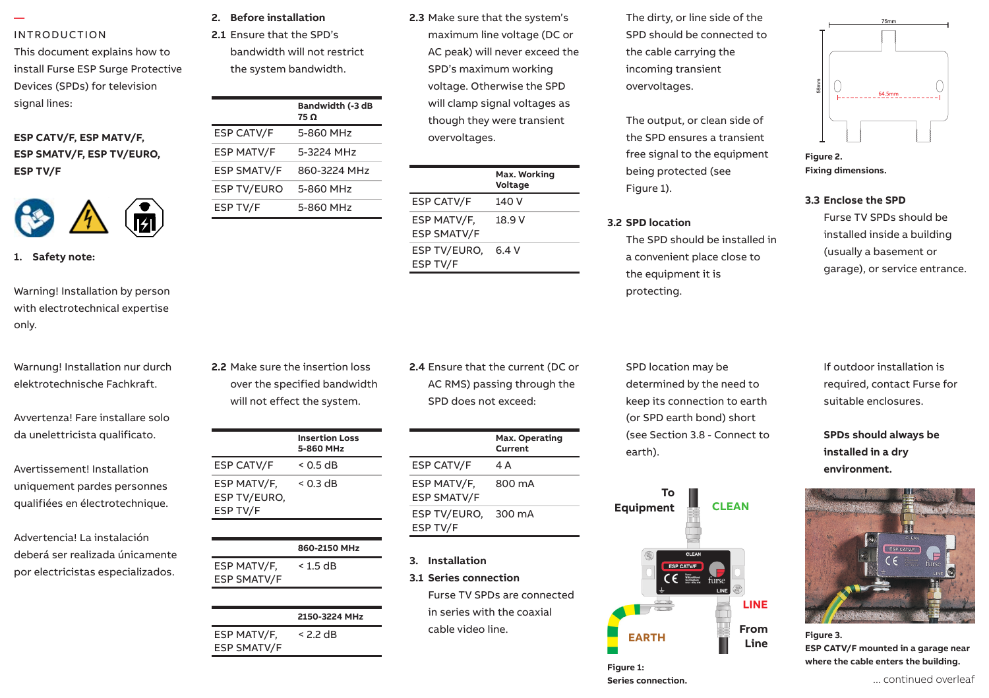#### **—**  INTRODUCTION

# This document explains how to

install Furse ESP Surge Protective Devices (SPDs) for television signal lines:

### **ESP CATV/F, ESP MATV/F, ESP SMATV/F, ESP TV/EURO, ESP TV/F**  ESP CATV/F, ESP MATV/F,



**1. Safety note:** Safety note:

Warning! Installation by person with electrotechnical expertise only.

Warnung! Installation nur durch elektrotechnische Fachkraft.

Avvertenza! Fare installare solo da unelettricista qualificato. Incorrect installation will impair the

Avertissement! Installation uniquement pardes personnes qualifiées en électrotechnique.

Advertencia! La instalación deberá ser realizada únicamente por electricistas especializados. **1.11 Maximum to a S60-2150 MHz** ESP MATV/F,  $\leq 1.5$ ESP SMATV/F verteneral ta motaración  $2.90$ 

### **2. Before installation**

**2.1** Ensure that the SPD's bandwidth will not restrict the system bandwidth.

|                    | Bandwidth (-3 dB<br>75 Ω |
|--------------------|--------------------------|
| <b>ESP CATV/F</b>  | 5-860 MHz                |
| ESP MATV/F         | 5-3224 MHz               |
| <b>ESP SMATV/F</b> | 860-3224 MHz             |
| <b>ESP TV/EURO</b> | 5-860 MHz                |
| ESP TV/F           | 5-860 MHz                |
|                    |                          |

**2.2** Make sure the insertion loss over the specified bandwidth will not effect the system.

**Insertion Loss 5-860 MHz** ESP CATV/F < 0.5 dB ESP MATV/F,  $\leq 0.3$ ESP TV/EURO, ESP TV/F

> ESP MATV/F, ESP SMATV/F

Installation Instructions for Mains Wire-In Protectors | 1

 $< 0.3$  dB

 $< 1.5$  dB

 $< 2.2$  dB

**2150-3224 MHz**

**2.3** Make sure that the system's maximum line voltage (DC or AC peak) will never exceed the SPD's maximum working voltage. Otherwise the SPD will clamp signal voltages as though they were transient overvoltages.

|                                   | Max. Working<br>Voltage |
|-----------------------------------|-------------------------|
| <b>ESP CATV/F</b>                 | 140 V                   |
| ESP MATV/F.<br><b>ESP SMATV/F</b> | 18.9 V                  |
| ESP TV/EURO,<br>ESP TV/F          | 6.4V                    |
|                                   |                         |

**2.4** Ensure that the current (DC or AC RMS) passing through the SPD does not exceed:

|                                   | Max. Operating<br>Current |
|-----------------------------------|---------------------------|
| ESP CATV/F                        | 4 A                       |
| ESP MATV/F.<br><b>ESP SMATV/F</b> | 800 mA                    |
| ESP TV/EURO.<br>ESP TV/F          | 300 mA                    |

**3. Installation**

### **3.1 Series connection**

Furse TV SPDs are connected in series with the coaxial cable video line.

The dirty, or line side of the SPD should be connected to the cable carrying the incoming transient overvoltages.

The output, or clean side of the SPD ensures a transient free signal to the equipment being protected (see Figure 1).

### **3.2 SPD location**

The SPD should be installed in a convenient place close to the equipment it is protecting.

ſ 64.5mm

**Figure 2. Fixing dimensions.**

### **3.3 Enclose the SPD**

Furse TV SPDs should be installed inside a building (usually a basement or garage), or service entrance.

SPD location may be determined by the need to keep its connection to earth (or SPD earth bond) short (see Section 3.8 - Connect to earth).



**Series connection.**

**Figure 1:** 

If outdoor installation is required, contact Furse for suitable enclosures.

**SPDs should always be installed in a dry environment.** 



**Figure 3. ESP CATV/F mounted in a garage near where the cable enters the building.**